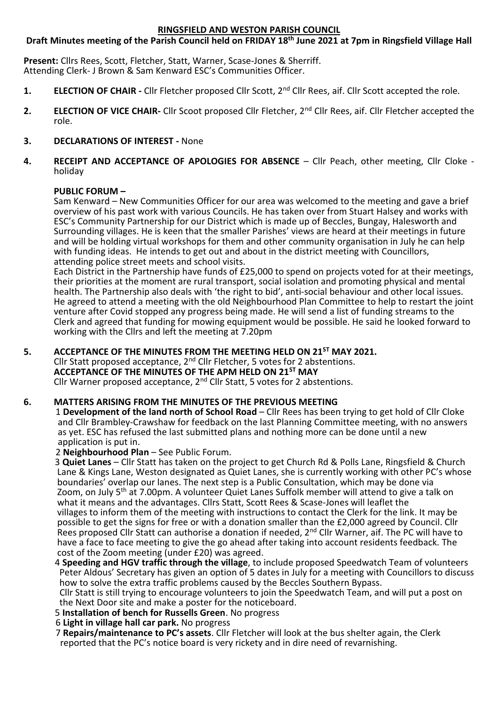## **RINGSFIELD AND WESTON PARISH COUNCIL**

### **Draft Minutes meeting of the Parish Council held on FRIDAY 18th June 2021 at 7pm in Ringsfield Village Hall**

**Present:** Cllrs Rees, Scott, Fletcher, Statt, Warner, Scase-Jones & Sherriff. Attending Clerk- J Brown & Sam Kenward ESC's Communities Officer.

- **1. ELECTION OF CHAIR -** Cllr Fletcher proposed Cllr Scott, 2nd Cllr Rees, aif. Cllr Scott accepted the role.
- **2. ELECTION OF VICE CHAIR-** Cllr Scoot proposed Cllr Fletcher, 2nd Cllr Rees, aif. Cllr Fletcher accepted the role.

## **3. DECLARATIONS OF INTEREST -** None

**4. RECEIPT AND ACCEPTANCE OF APOLOGIES FOR ABSENCE** – Cllr Peach, other meeting, Cllr Cloke holiday

#### **PUBLIC FORUM –**

Sam Kenward – New Communities Officer for our area was welcomed to the meeting and gave a brief overview of his past work with various Councils. He has taken over from Stuart Halsey and works with ESC's Community Partnership for our District which is made up of Beccles, Bungay, Halesworth and Surrounding villages. He is keen that the smaller Parishes' views are heard at their meetings in future and will be holding virtual workshops for them and other community organisation in July he can help with funding ideas. He intends to get out and about in the district meeting with Councillors, attending police street meets and school visits.

Each District in the Partnership have funds of £25,000 to spend on projects voted for at their meetings, their priorities at the moment are rural transport, social isolation and promoting physical and mental health. The Partnership also deals with 'the right to bid', anti-social behaviour and other local issues. He agreed to attend a meeting with the old Neighbourhood Plan Committee to help to restart the joint venture after Covid stopped any progress being made. He will send a list of funding streams to the Clerk and agreed that funding for mowing equipment would be possible. He said he looked forward to working with the Cllrs and left the meeting at 7.20pm

**5. ACCEPTANCE OF THE MINUTES FROM THE MEETING HELD ON 21ST MAY 2021.** Cllr Statt proposed acceptance,  $2^{nd}$  Cllr Fletcher, 5 votes for 2 abstentions. **ACCEPTANCE OF THE MINUTES OF THE APM HELD ON 21ST MAY** Cllr Warner proposed acceptance,  $2^{nd}$  Cllr Statt, 5 votes for 2 abstentions.

#### **6. MATTERS ARISING FROM THE MINUTES OF THE PREVIOUS MEETING**

1 **Development of the land north of School Road** – Cllr Rees has been trying to get hold of Cllr Cloke and Cllr Brambley-Crawshaw for feedback on the last Planning Committee meeting, with no answers as yet. ESC has refused the last submitted plans and nothing more can be done until a new application is put in.

## 2 **Neighbourhood Plan** – See Public Forum.

3 **Quiet Lanes** – Cllr Statt has taken on the project to get Church Rd & Polls Lane, Ringsfield & Church Lane & Kings Lane, Weston designated as Quiet Lanes, she is currently working with other PC's whose boundaries' overlap our lanes. The next step is a Public Consultation, which may be done via Zoom, on July 5th at 7.00pm. A volunteer Quiet Lanes Suffolk member will attend to give a talk on what it means and the advantages. Cllrs Statt, Scott Rees & Scase-Jones will leaflet the villages to inform them of the meeting with instructions to contact the Clerk for the link. It may be possible to get the signs for free or with a donation smaller than the £2,000 agreed by Council. Cllr Rees proposed Cllr Statt can authorise a donation if needed, 2<sup>nd</sup> Cllr Warner, aif. The PC will have to have a face to face meeting to give the go ahead after taking into account residents feedback. The cost of the Zoom meeting (under £20) was agreed.

4 **Speeding and HGV traffic through the village**, to include proposed Speedwatch Team of volunteers Peter Aldous' Secretary has given an option of 5 dates in July for a meeting with Councillors to discuss how to solve the extra traffic problems caused by the Beccles Southern Bypass.

 Cllr Statt is still trying to encourage volunteers to join the Speedwatch Team, and will put a post on the Next Door site and make a poster for the noticeboard.

- 5 **Installation of bench for Russells Green**. No progress
- 6 **Light in village hall car park.** No progress
- 7 **Repairs/maintenance to PC's assets**. Cllr Fletcher will look at the bus shelter again, the Clerk reported that the PC's notice board is very rickety and in dire need of revarnishing.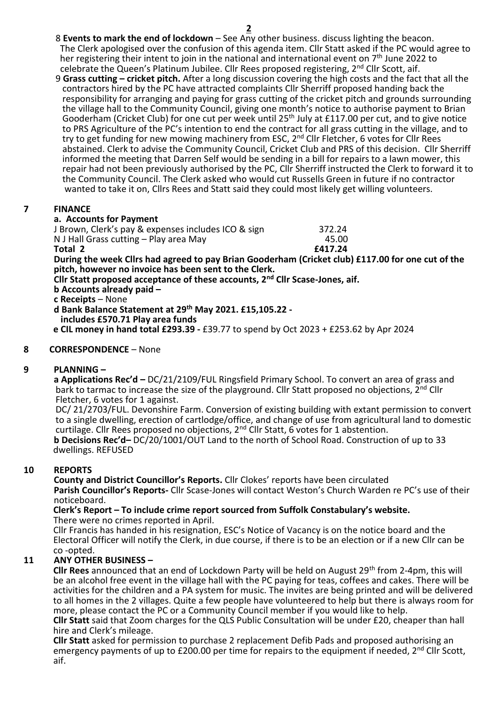- 8 **Events to mark the end of lockdown** See Any other business. discuss lighting the beacon. The Clerk apologised over the confusion of this agenda item. Cllr Statt asked if the PC would agree to her registering their intent to join in the national and international event on  $7<sup>th</sup>$  June 2022 to celebrate the Queen's Platinum Jubilee. Cllr Rees proposed registering, 2<sup>nd</sup> Cllr Scott, aif.
- 9 **Grass cutting – cricket pitch.** After a long discussion covering the high costs and the fact that all the contractors hired by the PC have attracted complaints Cllr Sherriff proposed handing back the responsibility for arranging and paying for grass cutting of the cricket pitch and grounds surrounding the village hall to the Community Council, giving one month's notice to authorise payment to Brian Gooderham (Cricket Club) for one cut per week until 25<sup>th</sup> July at £117.00 per cut, and to give notice to PRS Agriculture of the PC's intention to end the contract for all grass cutting in the village, and to try to get funding for new mowing machinery from ESC, 2<sup>nd</sup> Cllr Fletcher, 6 votes for Cllr Rees abstained. Clerk to advise the Community Council, Cricket Club and PRS of this decision. Cllr Sherriff informed the meeting that Darren Self would be sending in a bill for repairs to a lawn mower, this repair had not been previously authorised by the PC, Cllr Sherriff instructed the Clerk to forward it to the Community Council. The Clerk asked who would cut Russells Green in future if no contractor wanted to take it on, Cllrs Rees and Statt said they could most likely get willing volunteers.

# **7 FINANCE**

# **a. Accounts for Payment**

J Brown, Clerk's pay & expenses includes ICO & sign 372.24 N J Hall Grass cutting – Play area May **45.00**<br>**1417.24 E417.24 Total 2 £417.24**

**During the week Cllrs had agreed to pay Brian Gooderham (Cricket club) £117.00 for one cut of the pitch, however no invoice has been sent to the Clerk.**

**Cllr Statt proposed acceptance of these accounts, 2nd Cllr Scase-Jones, aif.**

**b Accounts already paid –**

**c Receipts** – None

**d Bank Balance Statement at 29th May 2021. £15,105.22 -**

 **includes £570.71 Play area funds**

 **e CIL money in hand total £293.39 -** £39.77 to spend by Oct 2023 + £253.62 by Apr 2024

# **8 CORRESPONDENCE** – None

# **9 PLANNING –**

**a Applications Rec'd –** DC/21/2109/FUL Ringsfield Primary School. To convert an area of grass and bark to tarmac to increase the size of the playground. Cllr Statt proposed no objections, 2<sup>nd</sup> Cllr Fletcher, 6 votes for 1 against.

 DC/ 21/2703/FUL. Devonshire Farm. Conversion of existing building with extant permission to convert to a single dwelling, erection of cartlodge/office, and change of use from agricultural land to domestic curtilage. Cllr Rees proposed no objections, 2nd Cllr Statt, 6 votes for 1 abstention.

**b Decisions Rec'd–** DC/20/1001/OUT Land to the north of School Road. Construction of up to 33 dwellings. REFUSED

# **10 REPORTS**

**County and District Councillor's Reports.** Cllr Clokes' reports have been circulated **Parish Councillor's Reports-** Cllr Scase-Jones will contact Weston's Church Warden re PC's use of their noticeboard.

#### **Clerk's Report – To include crime report sourced from Suffolk Constabulary's website.** There were no crimes reported in April.

 Cllr Francis has handed in his resignation, ESC's Notice of Vacancy is on the notice board and the Electoral Officer will notify the Clerk, in due course, if there is to be an election or if a new Cllr can be co -opted.

# **11 ANY OTHER BUSINESS –**

**Cllr Rees** announced that an end of Lockdown Party will be held on August 29<sup>th</sup> from 2-4pm, this will be an alcohol free event in the village hall with the PC paying for teas, coffees and cakes. There will be activities for the children and a PA system for music. The invites are being printed and will be delivered to all homes in the 2 villages. Quite a few people have volunteered to help but there is always room for more, please contact the PC or a Community Council member if you would like to help.

 **Cllr Statt** said that Zoom charges for the QLS Public Consultation will be under £20, cheaper than hall hire and Clerk's mileage.

 **Cllr Statt** asked for permission to purchase 2 replacement Defib Pads and proposed authorising an emergency payments of up to £200.00 per time for repairs to the equipment if needed,  $2^{nd}$  Cllr Scott, aif.